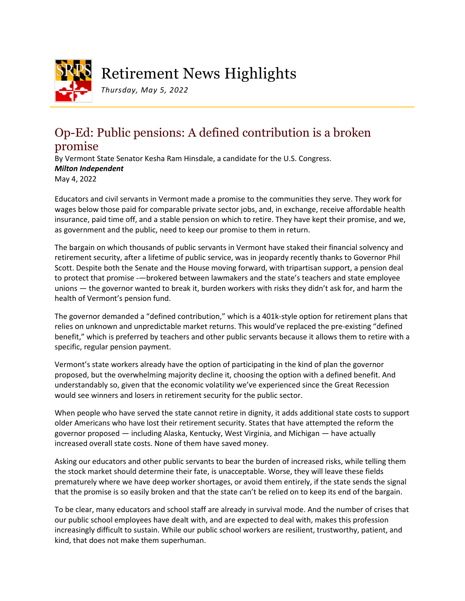

## Retirement News Highlights

*Thursday, May 5, 2022*

## Op-Ed: Public pensions: A defined contribution is a broken promise

By Vermont State Senator Kesha Ram Hinsdale, a candidate for the U.S. Congress. *Milton Independent* May 4, 2022

Educators and civil servants in Vermont made a promise to the communities they serve. They work for wages below those paid for comparable private sector jobs, and, in exchange, receive affordable health insurance, paid time off, and a stable pension on which to retire. They have kept their promise, and we, as government and the public, need to keep our promise to them in return.

The bargain on which thousands of public servants in Vermont have staked their financial solvency and retirement security, after a lifetime of public service, was in jeopardy recently thanks to Governor Phil Scott. Despite both the Senate and the House moving forward, with tripartisan support, a pension deal to protect that promise -—brokered between lawmakers and the state's teachers and state employee unions — the governor wanted to break it, burden workers with risks they didn't ask for, and harm the health of Vermont's pension fund.

The governor demanded a "defined contribution," which is a 401k-style option for retirement plans that relies on unknown and unpredictable market returns. This would've replaced the pre-existing "defined benefit," which is preferred by teachers and other public servants because it allows them to retire with a specific, regular pension payment.

Vermont's state workers already have the option of participating in the kind of plan the governor proposed, but the overwhelming majority decline it, choosing the option with a defined benefit. And understandably so, given that the economic volatility we've experienced since the Great Recession would see winners and losers in retirement security for the public sector.

When people who have served the state cannot retire in dignity, it adds additional state costs to support older Americans who have lost their retirement security. States that have attempted the reform the governor proposed — including Alaska, Kentucky, West Virginia, and Michigan — have actually increased overall state costs. None of them have saved money.

Asking our educators and other public servants to bear the burden of increased risks, while telling them the stock market should determine their fate, is unacceptable. Worse, they will leave these fields prematurely where we have deep worker shortages, or avoid them entirely, if the state sends the signal that the promise is so easily broken and that the state can't be relied on to keep its end of the bargain.

To be clear, many educators and school staff are already in survival mode. And the number of crises that our public school employees have dealt with, and are expected to deal with, makes this profession increasingly difficult to sustain. While our public school workers are resilient, trustworthy, patient, and kind, that does not make them superhuman.